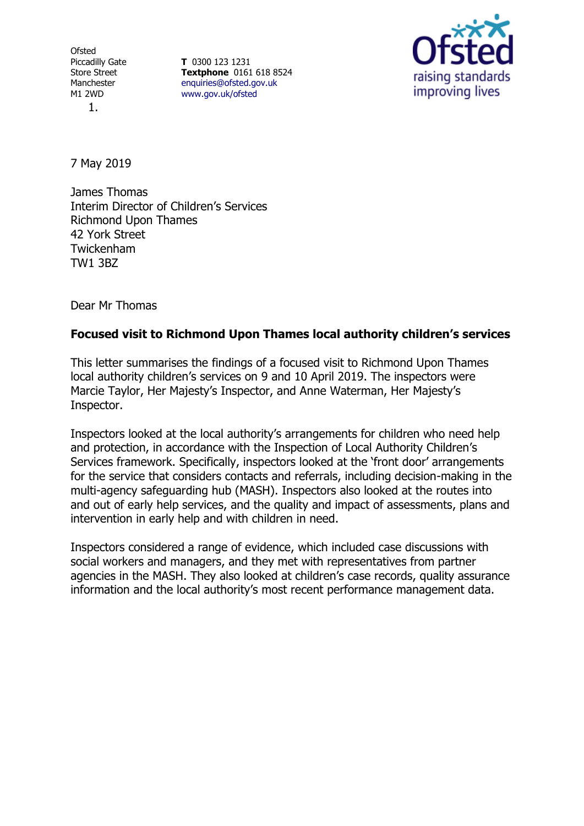**Ofsted** Piccadilly Gate Store Street Manchester M1 2WD 1.

**T** 0300 123 1231 **Textphone** 0161 618 8524 [enquiries@ofsted.gov.uk](file:///D:/LIBREOFFICETEMP/enquiries@ofsted.gov.uk) [www.gov.uk/ofsted](file:///D:/LIBREOFFICETEMP/www.gov.uk/ofsted)



7 May 2019

James Thomas Interim Director of Children's Services Richmond Upon Thames 42 York Street Twickenham TW1 3BZ

Dear Mr Thomas

## **Focused visit to Richmond Upon Thames local authority children's services**

This letter summarises the findings of a focused visit to Richmond Upon Thames local authority children's services on 9 and 10 April 2019. The inspectors were Marcie Taylor, Her Majesty's Inspector, and Anne Waterman, Her Majesty's Inspector.

Inspectors looked at the local authority's arrangements for children who need help and protection, in accordance with the Inspection of Local Authority Children's Services framework. Specifically, inspectors looked at the 'front door' arrangements for the service that considers contacts and referrals, including decision-making in the multi-agency safeguarding hub (MASH). Inspectors also looked at the routes into and out of early help services, and the quality and impact of assessments, plans and intervention in early help and with children in need.

Inspectors considered a range of evidence, which included case discussions with social workers and managers, and they met with representatives from partner agencies in the MASH. They also looked at children's case records, quality assurance information and the local authority's most recent performance management data.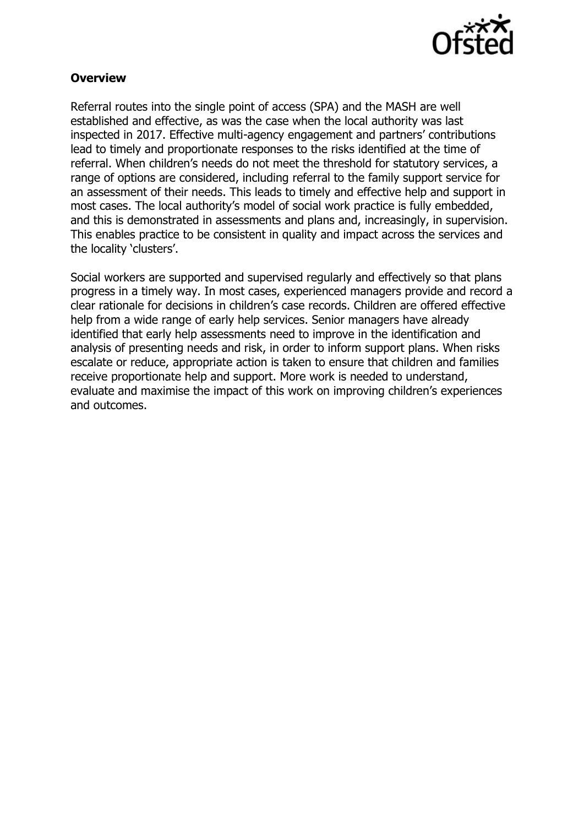

## **Overview**

Referral routes into the single point of access (SPA) and the MASH are well established and effective, as was the case when the local authority was last inspected in 2017. Effective multi-agency engagement and partners' contributions lead to timely and proportionate responses to the risks identified at the time of referral. When children's needs do not meet the threshold for statutory services, a range of options are considered, including referral to the family support service for an assessment of their needs. This leads to timely and effective help and support in most cases. The local authority's model of social work practice is fully embedded, and this is demonstrated in assessments and plans and, increasingly, in supervision. This enables practice to be consistent in quality and impact across the services and the locality 'clusters'.

Social workers are supported and supervised regularly and effectively so that plans progress in a timely way. In most cases, experienced managers provide and record a clear rationale for decisions in children's case records. Children are offered effective help from a wide range of early help services. Senior managers have already identified that early help assessments need to improve in the identification and analysis of presenting needs and risk, in order to inform support plans. When risks escalate or reduce, appropriate action is taken to ensure that children and families receive proportionate help and support. More work is needed to understand, evaluate and maximise the impact of this work on improving children's experiences and outcomes.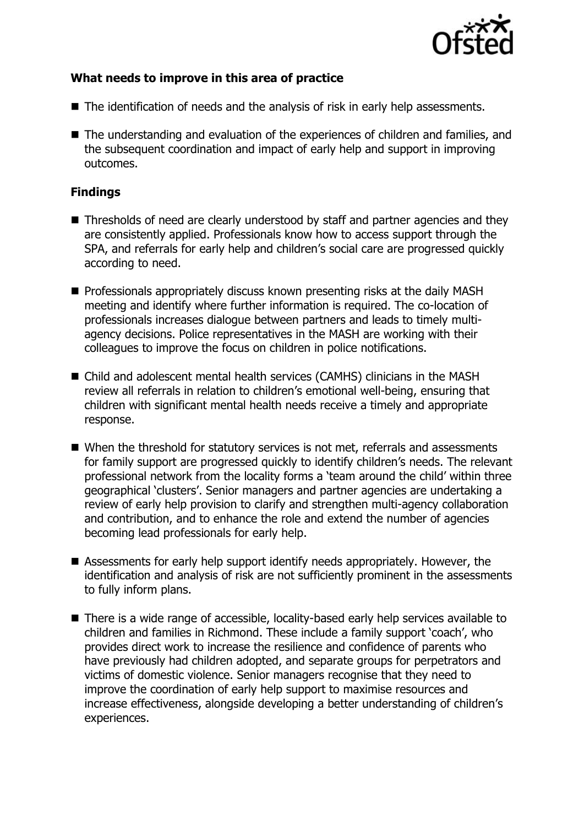

## **What needs to improve in this area of practice**

- The identification of needs and the analysis of risk in early help assessments.
- The understanding and evaluation of the experiences of children and families, and the subsequent coordination and impact of early help and support in improving outcomes.

## **Findings**

- Thresholds of need are clearly understood by staff and partner agencies and they are consistently applied. Professionals know how to access support through the SPA, and referrals for early help and children's social care are progressed quickly according to need.
- Professionals appropriately discuss known presenting risks at the daily MASH meeting and identify where further information is required. The co-location of professionals increases dialogue between partners and leads to timely multiagency decisions. Police representatives in the MASH are working with their colleagues to improve the focus on children in police notifications.
- Child and adolescent mental health services (CAMHS) clinicians in the MASH review all referrals in relation to children's emotional well-being, ensuring that children with significant mental health needs receive a timely and appropriate response.
- When the threshold for statutory services is not met, referrals and assessments for family support are progressed quickly to identify children's needs. The relevant professional network from the locality forms a 'team around the child' within three geographical 'clusters'. Senior managers and partner agencies are undertaking a review of early help provision to clarify and strengthen multi-agency collaboration and contribution, and to enhance the role and extend the number of agencies becoming lead professionals for early help.
- Assessments for early help support identify needs appropriately. However, the identification and analysis of risk are not sufficiently prominent in the assessments to fully inform plans.
- There is a wide range of accessible, locality-based early help services available to children and families in Richmond. These include a family support 'coach', who provides direct work to increase the resilience and confidence of parents who have previously had children adopted, and separate groups for perpetrators and victims of domestic violence. Senior managers recognise that they need to improve the coordination of early help support to maximise resources and increase effectiveness, alongside developing a better understanding of children's experiences.